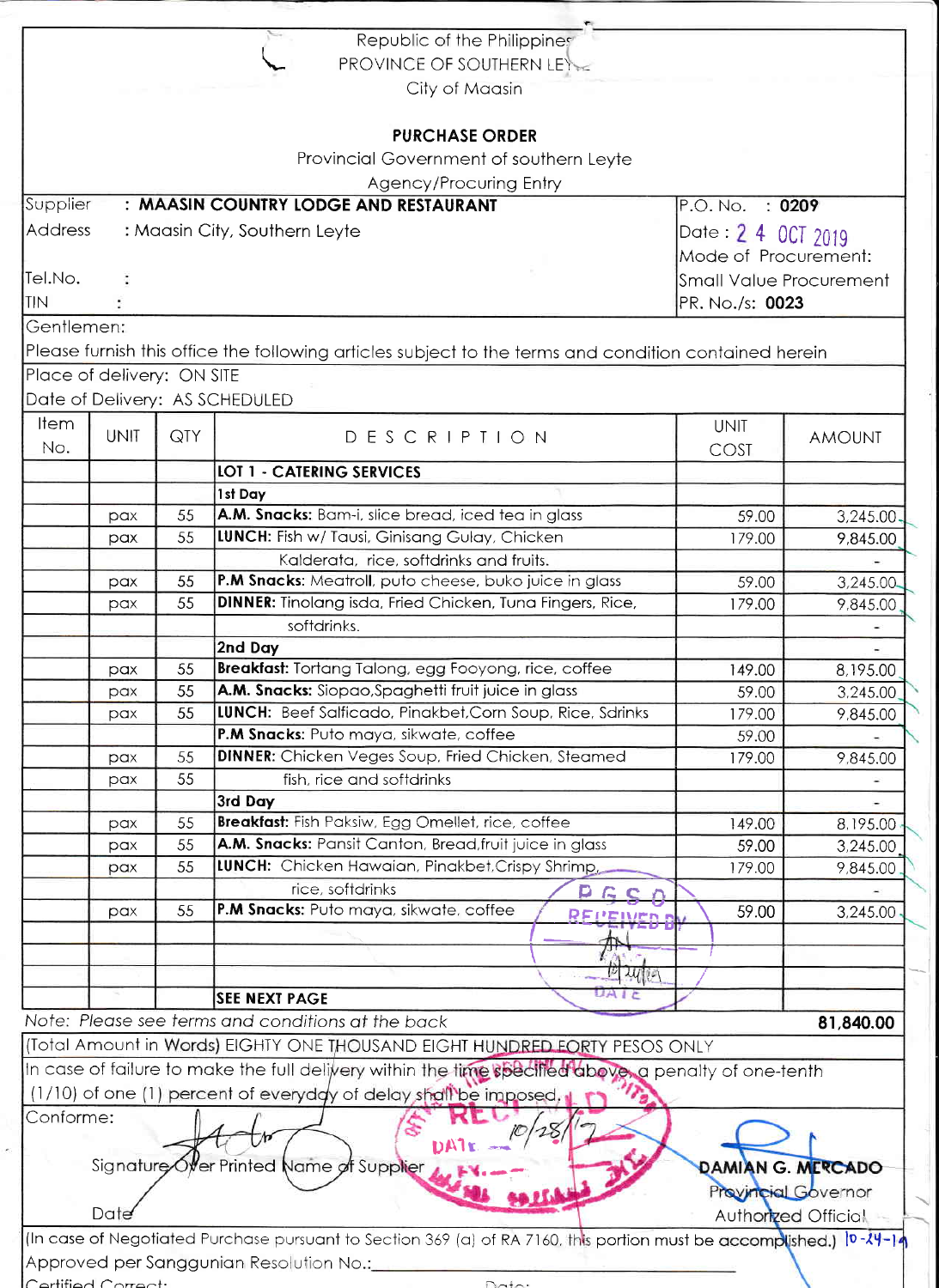|                                          | CortifiedConvot:                      |                    | (In case of Negotiated Purchase pursuant to Section 369 (a) of RA 7160, this portion must be accomplished.) [0- $24$ -14<br>Approved per Sanggunian Resolution No.: |             |                                                                 |
|------------------------------------------|---------------------------------------|--------------------|---------------------------------------------------------------------------------------------------------------------------------------------------------------------|-------------|-----------------------------------------------------------------|
|                                          | Date                                  |                    | Signature Offer Printed Name of Supplier                                                                                                                            |             | DAMIAN G. MERCADO<br>Provincial Governor<br>Authorized Official |
|                                          |                                       |                    |                                                                                                                                                                     |             |                                                                 |
| Conforme:                                |                                       |                    | (1/10) of one (1) percent of everyddy of delay shall be imposed.                                                                                                    |             |                                                                 |
|                                          |                                       |                    | In case of failure to make the full delivery within the time specified above, a penalty of one-tenth                                                                |             |                                                                 |
|                                          |                                       |                    |                                                                                                                                                                     |             |                                                                 |
|                                          |                                       |                    | (Total Amount in Words) EIGHTY ONE THOUSAND EIGHT HUNDRED FORTY PESOS ONLY                                                                                          |             | 81,840.00                                                       |
|                                          |                                       |                    | Note: Please see terms and conditions at the back                                                                                                                   |             |                                                                 |
|                                          |                                       |                    | UAIC<br><b>SEE NEXT PAGE</b>                                                                                                                                        |             |                                                                 |
|                                          |                                       |                    | <b>ICI JUILE</b>                                                                                                                                                    |             |                                                                 |
|                                          |                                       |                    |                                                                                                                                                                     |             |                                                                 |
|                                          | pax                                   | 55                 | P.M Snacks: Puto maya, sikwate, coffee                                                                                                                              | 59.00       | 3,245.00                                                        |
|                                          |                                       |                    | rice, softdrinks                                                                                                                                                    |             |                                                                 |
|                                          | pax                                   | 55                 | LUNCH: Chicken Hawaian, Pinakbet, Crispy Shrimp,                                                                                                                    | 179.00      | 9,845.00                                                        |
|                                          | pax                                   | 55                 | A.M. Snacks: Pansit Canton, Bread, fruit juice in glass                                                                                                             | 59.00       | 3,245.00                                                        |
|                                          | pax                                   | 55                 | Breakfast: Fish Paksiw, Egg Omellet, rice, coffee                                                                                                                   | 149.00      | 8,195.00                                                        |
|                                          |                                       |                    | 3rd Day                                                                                                                                                             |             |                                                                 |
|                                          | pax                                   | 55                 | fish, rice and softdrinks                                                                                                                                           |             |                                                                 |
|                                          | pax                                   | 55                 | DINNER: Chicken Veges Soup, Fried Chicken, Steamed                                                                                                                  | 179.00      | 9,845.00                                                        |
|                                          |                                       |                    | P.M Snacks: Puto maya, sikwate, coffee                                                                                                                              | 59.00       |                                                                 |
|                                          | pax                                   | 55                 | LUNCH: Beef Salficado, Pinakbet, Corn Soup, Rice, Sdrinks                                                                                                           | 179.00      | 9,845.00                                                        |
|                                          | pax                                   | 55                 | A.M. Snacks: Siopao, Spaghetti fruit juice in glass                                                                                                                 | 59.00       | 3,245.00                                                        |
|                                          | pax                                   | 55                 | Breakfast: Tortang Talong, egg Fooyong, rice, coffee                                                                                                                | 149.00      | 8,195.00                                                        |
|                                          |                                       |                    | 2nd Day                                                                                                                                                             |             |                                                                 |
|                                          |                                       |                    | softdrinks.                                                                                                                                                         |             |                                                                 |
|                                          | pax                                   | 55                 | <b>DINNER:</b> Tinolang isda, Fried Chicken, Tuna Fingers, Rice,                                                                                                    | 179.00      | 9,845.00                                                        |
|                                          | pax                                   | 55                 | P.M Snacks: Meatroll, puto cheese, buko juice in glass                                                                                                              | 59.00       | 3,245.00                                                        |
|                                          |                                       |                    | Kalderata, rice, softdrinks and fruits.                                                                                                                             |             |                                                                 |
|                                          | pax                                   | 55                 | LUNCH: Fish w/ Tausi, Ginisang Gulay, Chicken                                                                                                                       | 179.00      | 9,845.00                                                        |
|                                          | pax                                   | 55                 | A.M. Snacks: Bam-i, slice bread, iced tea in glass                                                                                                                  | 59.00       | 3,245.00                                                        |
|                                          |                                       |                    | 1st Day                                                                                                                                                             |             |                                                                 |
|                                          |                                       |                    | <b>LOT 1 - CATERING SERVICES</b>                                                                                                                                    |             |                                                                 |
| No.                                      |                                       |                    |                                                                                                                                                                     | COST        | <b>AMOUNT</b>                                                   |
| <b>Item</b>                              | <b>UNIT</b>                           | QTY                | DESCRIPTION                                                                                                                                                         | <b>UNIT</b> |                                                                 |
|                                          |                                       |                    | Date of Delivery: AS SCHEDULED                                                                                                                                      |             |                                                                 |
|                                          | Place of delivery: ON SITE            |                    |                                                                                                                                                                     |             |                                                                 |
|                                          |                                       |                    | Please furnish this office the following articles subject to the terms and condition contained herein                                                               |             |                                                                 |
|                                          |                                       |                    |                                                                                                                                                                     |             |                                                                 |
| Gentlemen:                               |                                       |                    |                                                                                                                                                                     |             |                                                                 |
| TIN                                      |                                       |                    | <b>Small Value Procurement</b><br>PR. No./s: 0023                                                                                                                   |             |                                                                 |
| Tel.No.                                  |                                       |                    |                                                                                                                                                                     |             |                                                                 |
|                                          |                                       |                    |                                                                                                                                                                     |             | Mode of Procurement:                                            |
| Address<br>: Maasin City, Southern Leyte |                                       |                    |                                                                                                                                                                     |             | Date 2 4 0CT 2019                                               |
| Supplier                                 | : MAASIN COUNTRY LODGE AND RESTAURANT | P.O. No.<br>: 0209 |                                                                                                                                                                     |             |                                                                 |
|                                          |                                       |                    | Agency/Procuring Entry                                                                                                                                              |             |                                                                 |
|                                          |                                       |                    | Provincial Government of southern Leyte                                                                                                                             |             |                                                                 |
|                                          |                                       |                    | <b>PURCHASE ORDER</b>                                                                                                                                               |             |                                                                 |
|                                          |                                       |                    |                                                                                                                                                                     |             |                                                                 |
|                                          |                                       |                    | City of Maasin                                                                                                                                                      |             |                                                                 |
|                                          |                                       |                    | PROVINCE OF SOUTHERN LEY                                                                                                                                            |             |                                                                 |
|                                          |                                       |                    |                                                                                                                                                                     |             |                                                                 |